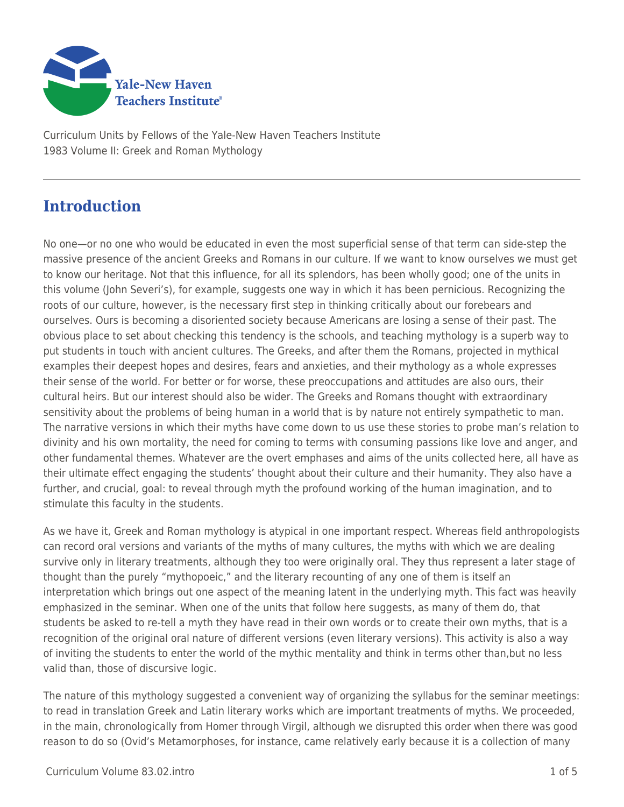

Curriculum Units by Fellows of the Yale-New Haven Teachers Institute 1983 Volume II: Greek and Roman Mythology

# **Introduction**

No one—or no one who would be educated in even the most superficial sense of that term can side-step the massive presence of the ancient Greeks and Romans in our culture. If we want to know ourselves we must get to know our heritage. Not that this influence, for all its splendors, has been wholly good; one of the units in this volume (John Severi's), for example, suggests one way in which it has been pernicious. Recognizing the roots of our culture, however, is the necessary first step in thinking critically about our forebears and ourselves. Ours is becoming a disoriented society because Americans are losing a sense of their past. The obvious place to set about checking this tendency is the schools, and teaching mythology is a superb way to put students in touch with ancient cultures. The Greeks, and after them the Romans, projected in mythical examples their deepest hopes and desires, fears and anxieties, and their mythology as a whole expresses their sense of the world. For better or for worse, these preoccupations and attitudes are also ours, their cultural heirs. But our interest should also be wider. The Greeks and Romans thought with extraordinary sensitivity about the problems of being human in a world that is by nature not entirely sympathetic to man. The narrative versions in which their myths have come down to us use these stories to probe man's relation to divinity and his own mortality, the need for coming to terms with consuming passions like love and anger, and other fundamental themes. Whatever are the overt emphases and aims of the units collected here, all have as their ultimate effect engaging the students' thought about their culture and their humanity. They also have a further, and crucial, goal: to reveal through myth the profound working of the human imagination, and to stimulate this faculty in the students.

As we have it, Greek and Roman mythology is atypical in one important respect. Whereas field anthropologists can record oral versions and variants of the myths of many cultures, the myths with which we are dealing survive only in literary treatments, although they too were originally oral. They thus represent a later stage of thought than the purely "mythopoeic," and the literary recounting of any one of them is itself an interpretation which brings out one aspect of the meaning latent in the underlying myth. This fact was heavily emphasized in the seminar. When one of the units that follow here suggests, as many of them do, that students be asked to re-tell a myth they have read in their own words or to create their own myths, that is a recognition of the original oral nature of different versions (even literary versions). This activity is also a way of inviting the students to enter the world of the mythic mentality and think in terms other than,but no less valid than, those of discursive logic.

The nature of this mythology suggested a convenient way of organizing the syllabus for the seminar meetings: to read in translation Greek and Latin literary works which are important treatments of myths. We proceeded, in the main, chronologically from Homer through Virgil, although we disrupted this order when there was good reason to do so (Ovid's Metamorphoses, for instance, came relatively early because it is a collection of many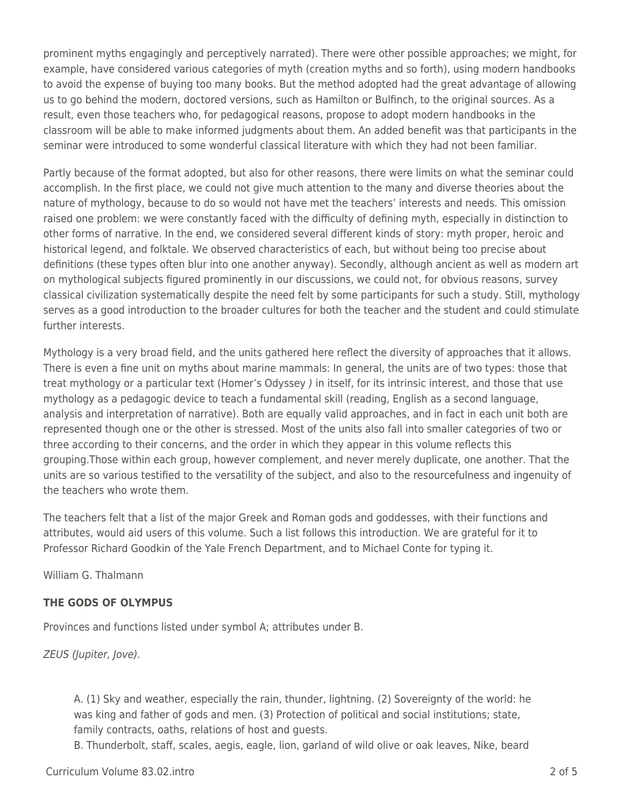prominent myths engagingly and perceptively narrated). There were other possible approaches; we might, for example, have considered various categories of myth (creation myths and so forth), using modern handbooks to avoid the expense of buying too many books. But the method adopted had the great advantage of allowing us to go behind the modern, doctored versions, such as Hamilton or Bulfinch, to the original sources. As a result, even those teachers who, for pedagogical reasons, propose to adopt modern handbooks in the classroom will be able to make informed judgments about them. An added benefit was that participants in the seminar were introduced to some wonderful classical literature with which they had not been familiar.

Partly because of the format adopted, but also for other reasons, there were limits on what the seminar could accomplish. In the first place, we could not give much attention to the many and diverse theories about the nature of mythology, because to do so would not have met the teachers' interests and needs. This omission raised one problem: we were constantly faced with the difficulty of defining myth, especially in distinction to other forms of narrative. In the end, we considered several different kinds of story: myth proper, heroic and historical legend, and folktale. We observed characteristics of each, but without being too precise about definitions (these types often blur into one another anyway). Secondly, although ancient as well as modern art on mythological subjects figured prominently in our discussions, we could not, for obvious reasons, survey classical civilization systematically despite the need felt by some participants for such a study. Still, mythology serves as a good introduction to the broader cultures for both the teacher and the student and could stimulate further interests.

Mythology is a very broad field, and the units gathered here reflect the diversity of approaches that it allows. There is even a fine unit on myths about marine mammals: In general, the units are of two types: those that treat mythology or a particular text (Homer's Odyssey ) in itself, for its intrinsic interest, and those that use mythology as a pedagogic device to teach a fundamental skill (reading, English as a second language, analysis and interpretation of narrative). Both are equally valid approaches, and in fact in each unit both are represented though one or the other is stressed. Most of the units also fall into smaller categories of two or three according to their concerns, and the order in which they appear in this volume reflects this grouping.Those within each group, however complement, and never merely duplicate, one another. That the units are so various testified to the versatility of the subject, and also to the resourcefulness and ingenuity of the teachers who wrote them.

The teachers felt that a list of the major Greek and Roman gods and goddesses, with their functions and attributes, would aid users of this volume. Such a list follows this introduction. We are grateful for it to Professor Richard Goodkin of the Yale French Department, and to Michael Conte for typing it.

William G. Thalmann

## **THE GODS OF OLYMPUS**

Provinces and functions listed under symbol A; attributes under B.

ZEUS (Jupiter, Jove).

A. (1) Sky and weather, especially the rain, thunder, lightning. (2) Sovereignty of the world: he was king and father of gods and men. (3) Protection of political and social institutions; state, family contracts, oaths, relations of host and guests.

B. Thunderbolt, staff, scales, aegis, eagle, lion, garland of wild olive or oak leaves, Nike, beard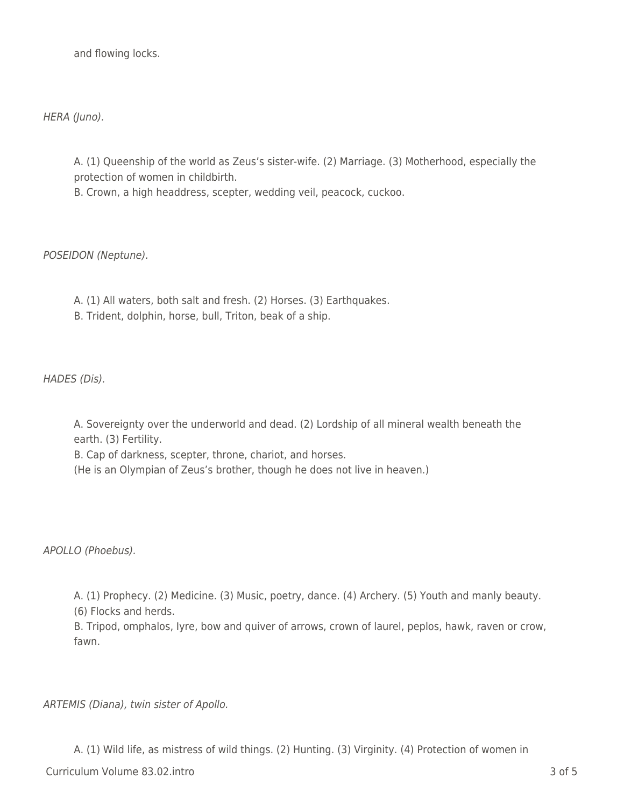and flowing locks.

HERA (Juno).

A. (1) Queenship of the world as Zeus's sister-wife. (2) Marriage. (3) Motherhood, especially the protection of women in childbirth.

B. Crown, a high headdress, scepter, wedding veil, peacock, cuckoo.

### POSEIDON (Neptune).

A. (1) All waters, both salt and fresh. (2) Horses. (3) Earthquakes.

B. Trident, dolphin, horse, bull, Triton, beak of a ship.

HADES (Dis).

A. Sovereignty over the underworld and dead. (2) Lordship of all mineral wealth beneath the earth. (3) Fertility.

B. Cap of darkness, scepter, throne, chariot, and horses.

(He is an Olympian of Zeus's brother, though he does not live in heaven.)

APOLLO (Phoebus).

A. (1) Prophecy. (2) Medicine. (3) Music, poetry, dance. (4) Archery. (5) Youth and manly beauty. (6) Flocks and herds.

B. Tripod, omphalos, Iyre, bow and quiver of arrows, crown of laurel, peplos, hawk, raven or crow, fawn.

ARTEMIS (Diana), twin sister of Apollo.

A. (1) Wild life, as mistress of wild things. (2) Hunting. (3) Virginity. (4) Protection of women in

Curriculum Volume 83.02.intro 3 of 5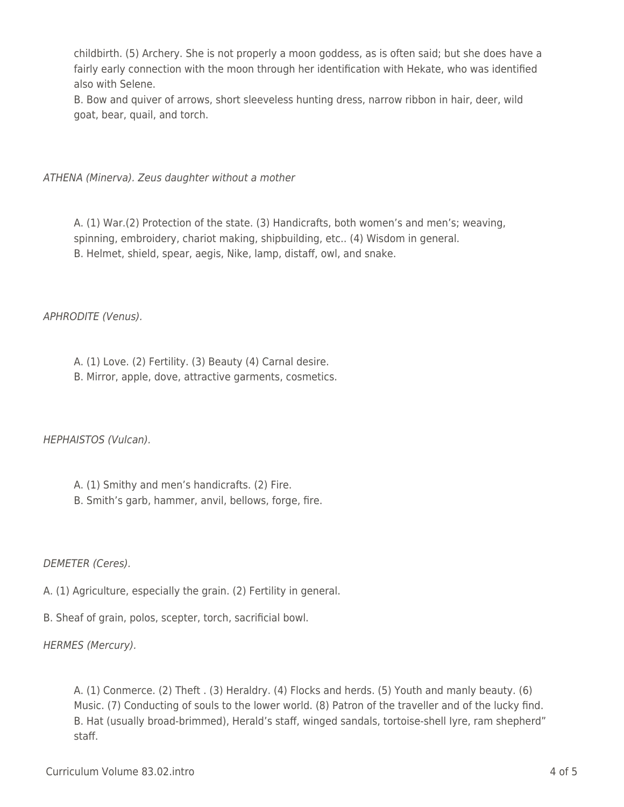childbirth. (5) Archery. She is not properly a moon goddess, as is often said; but she does have a fairly early connection with the moon through her identification with Hekate, who was identified also with Selene.

B. Bow and quiver of arrows, short sleeveless hunting dress, narrow ribbon in hair, deer, wild goat, bear, quail, and torch.

ATHENA (Minerva). Zeus daughter without a mother

A. (1) War.(2) Protection of the state. (3) Handicrafts, both women's and men's; weaving, spinning, embroidery, chariot making, shipbuilding, etc.. (4) Wisdom in general. B. Helmet, shield, spear, aegis, Nike, lamp, distaff, owl, and snake.

APHRODITE (Venus).

A. (1) Love. (2) Fertility. (3) Beauty (4) Carnal desire. B. Mirror, apple, dove, attractive garments, cosmetics.

HEPHAISTOS (Vulcan).

- A. (1) Smithy and men's handicrafts. (2) Fire.
- B. Smith's garb, hammer, anvil, bellows, forge, fire.

DEMETER (Ceres).

A. (1) Agriculture, especially the grain. (2) Fertility in general.

B. Sheaf of grain, polos, scepter, torch, sacrificial bowl.

HERMES (Mercury).

A. (1) Conmerce. (2) Theft . (3) Heraldry. (4) Flocks and herds. (5) Youth and manly beauty. (6) Music. (7) Conducting of souls to the lower world. (8) Patron of the traveller and of the lucky find. B. Hat (usually broad-brimmed), Herald's staff, winged sandals, tortoise-shell Iyre, ram shepherd" staff.